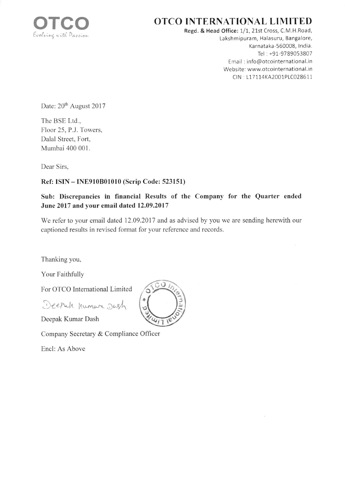

# OTCO INTERNATIONAL LIMITED

Regd. & Head Office: 1/1, 21st Cross, C.M.H.Road, Lakshmipuram, Halasuru, Bangalore, Karnataka-560008, India. Tel: +91-9789053807 Email : info@otcointernational.in Website; www.otcointernational.in CIN: L17114KA2001PLC028611

Date: 20<sup>th</sup> August 2017

The BSE Ltd.. Floor 25, P.J. Towers, Dalal Street, Fort, Mumbai 400 001.

Dear Sirs,

## Ref: ISIN - INE910B010l0 (Scrip Code: 523151)

# Sub: Discrepancies in financial Results of the Company for the Quarter ended June 2017 and your email dated 12.09.2017

We refer to your email dated 12.09.2017 and as advised by you we are sending herewith our captioned results in revised format for your reference and records.

Thanking you,

Your Faithfully

For OTCO Intemational Limited

Deepah humare .Jash

Deepak Kumar Dash

Company Secretary & Compliance Officer

Encl: As Above

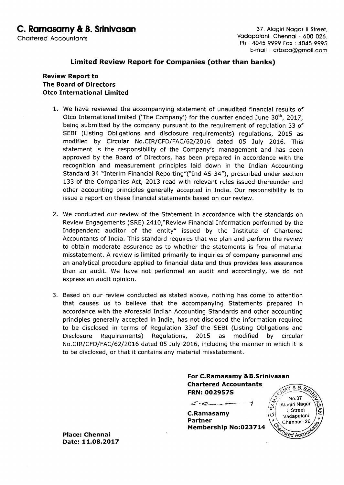### Limited Review Report for Companies (other than banks)

#### Review Report to The Board of Directors Otco International Limited

- 1. We have reviewed the accompanying statement of unaudited financial results of Otco Internationallimited ('The Company') for the quarter ended June 30<sup>th</sup>, 2017, being submitted by the company pursuant to the requirement of regulation 33 of SEBI (Listing Obligations and disclosure requirements) regulations, 2015 as modified by Circular No.CIR/CFD/FAC/62/2016 dated 05 July 2016. This statement is the responsibility of the Company's management and has been approved by the Board of Directors, has been prepared in accordance with the recognition and measurement principles laid down in the Indian Accounting Standard 34 "Interim Financial Reporting"("Ind AS 34"), prescribed under section 133 of the Companies Act, 2013 read with relevant rules issued thereunder and other accounting principles generally accepted in India, Our responsibility is to issue a report on these financial statements based on our review.
- 2. We conducted our review of the Statement in accordance with the standards on Review Engagements (SRE) 2410,"Review Financial Information performed by the Independent auditor of the entity" issued by the Institute of Chartered Accountants of India. This standard requires that we plan and perform the review to obtain moderate assurance as to whether the statements is free of material misstatement. A review is limited primarily to inquiries of company personnel and an analytical procedure applied to financial data and thus provides less assurance than an audit. We have not performed an audit and accordingly, we do not express an audit opinion.
- 3. Based on our review conducted as stated above, nothing has come to attention that causes us to believe that the accompanying Statements prepared in accordance with the aforesaid Indian Accounting Standards and other accounting principles generally accepted in India, has not disclosed the information required to be disclosed in terms of Regulation 33of the SEBI (Listing Obligations and Disclosure Requirements) Regulations, 2015 as modified by circular No.CIR/CFD/FAC/62/2016 dated 05 July 2016, including the manner in which it is to be disclosed, or that it contains any material misstatement.

For C.Ramasamy &B.Srinivasan Chartered Accountants FRN: OO2957S

 $\leq$ C.Ramasamy Partner Membership No:O23714

 $8.8.5$ No.37 Alagiri Nagar ≵ llStreet z ن Vadapalani \*\* Chennai - 26 *<u>Pred Acco</u>* 

Place: Chennai Date: 11.O8.2017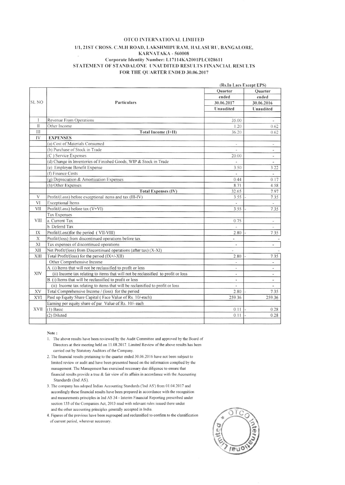#### OTCO INTERNATIONAL LIMITED 1/1, 21ST CROSS. C.M.H ROAD, LAKSHMIPURAM, HALASURU, BANGALORE, KARNATAKA - 560008 Corporate Identity Number: L17114KA2001PLC028611 STATEMENT OF STANDALONE UNAUDITED RESULTS FINANCIAL RESULTS FOR THE QUARTER ENDED 30.06.2017

|              |                                                                                   | (Rs.In Lacs Except EPS)  |                          |
|--------------|-----------------------------------------------------------------------------------|--------------------------|--------------------------|
|              |                                                                                   | Ouarter                  | Quarter                  |
| <b>SL NO</b> | Particulars                                                                       | ended                    | ended                    |
|              |                                                                                   | 30.06.2017               | 30.06.2016               |
|              |                                                                                   | Unaudited                | Unaudited                |
|              |                                                                                   |                          |                          |
| $\mathbf{I}$ | Revenue From Operations                                                           | 35.00                    | $\overline{\phantom{a}}$ |
| $\mathbf{H}$ | Other Income                                                                      | 1.20                     | 0.62                     |
| III          | Total Income (I+II)                                                               | 36.20                    | 0.62                     |
| IV           | <b>EXPENSES</b>                                                                   |                          |                          |
|              | (a) Cost of Materials Consumed                                                    | ¥.                       | ä,                       |
|              | (b) Purchase of Stock in Trade                                                    | $\overline{a}$           | $\overline{\phantom{m}}$ |
|              | (C) Service Expenses                                                              | 20.00                    | $\blacksquare$           |
|              | (d) Change in Inventories of Finished Goods, WIP & Stock in Trade                 |                          | $\frac{1}{2}$            |
|              | (e) Employee Benefit Expense                                                      | 3.50                     | 3.22                     |
|              | (f) Finance Costs                                                                 |                          | ÷                        |
|              | (g) Depreciation & Amortization Expenses                                          | 0.44                     | 0.17                     |
|              | (h) Other Expenses                                                                | 8.71                     | 4.58                     |
|              | <b>Total Expenses (IV)</b>                                                        | 32.65                    | 7.97                     |
| V            | Profit/(Loss) before exceptional items and tax (III-IV)                           | 3.55                     | 7.35                     |
| VI           | <b>Exceptional Items</b>                                                          |                          | ÷.                       |
| VII          | Profit/(Loss) before tax (V+VI)                                                   | 3.55                     | 7.35                     |
|              | <b>Tax Expenses</b>                                                               |                          |                          |
| VIII         | a. Current Tax                                                                    | 0.75                     | ¥,                       |
|              | b. Deferrd Tax                                                                    | $\overline{\phantom{a}}$ | $\sim$                   |
| IX           | Profit/(Loss)for the period (VII-VIII)                                            | 2.80                     | 7.35                     |
| X            | Profit/(loss) from discontinued operations before tax                             | $\overline{a}$           |                          |
| XI           | Tax expenses of discontinued operations                                           | $\sim$                   | ω,                       |
| XII          | Net Profit/(loss) from Discontinued operations (after tax) (X-XI)                 | L,                       |                          |
| XIII         | Total Profit/(loss) for the period (IX+/-XII)                                     | 2.80                     | 7.35                     |
| XIV          | Other Comprehensive Income                                                        | $\overline{\phantom{a}}$ | ٠                        |
|              | A. (i) Items that will not be reclassifled to profit or loss                      | ÷.                       | $\overline{\phantom{a}}$ |
|              | (ii) Income tax relating to items that will not be reclassified to profit or loss | $\overline{\phantom{a}}$ | $\overline{\phantom{a}}$ |
|              | B. (i) Items that will be reclassified to profit or loss                          | $\overline{\phantom{a}}$ | $\overline{\phantom{a}}$ |
|              | (ii) Income tax relating to items that will be reclassified to profit or loss     |                          | $\overline{\phantom{a}}$ |
| XV           | Total Comprehensive Income / (loss) for the period                                | 2.80                     | 7.35                     |
| XVI          | Paid up Equity Share Capital (Face Value of Rs. 10/-each)                         | 259.36                   | 259.36                   |
|              | Earning per equity share of par Value of Rs. 10/- each                            |                          |                          |
| XVII         | $(1)$ Basic                                                                       | 0.11                     | 0.28                     |
|              | (2) Diluted                                                                       | 0.11                     | 0.28                     |
|              |                                                                                   |                          |                          |

Note:

- 1. The above results have been reviewed by the Audit Committee and approved by the Board of Directors at their meeting held on 11.08.2017. Limited Review of the above results has been carried out by Statutory Auditors of the Company.
- 2. The financial results pretaining to the quarter ended 30.06.2016 have not been subject to limited review or audit and have been presented based on the information complied by the management. The Management has exercised necessary due diligence to ensure that financial results provide a true & fair view of its affairs in accordance with the Accounting Standards (Ind AS).
- 3. The company has adoped Indian Accounting Standards ('Ind AS') from 01.04.2017 and accordingly these financial results have been prepared in accordance with the recognition and meaurements principles in Ind AS 34 - Interim Financial Reporting prescribed under section 133 of the Companies Act, 2013 read with relevant rules issued there under and the other accounting principles generally accepted in India.

4. Figures of the previous have been regrouped and reclassified to confirm to the classification of current period, wherever necessary.